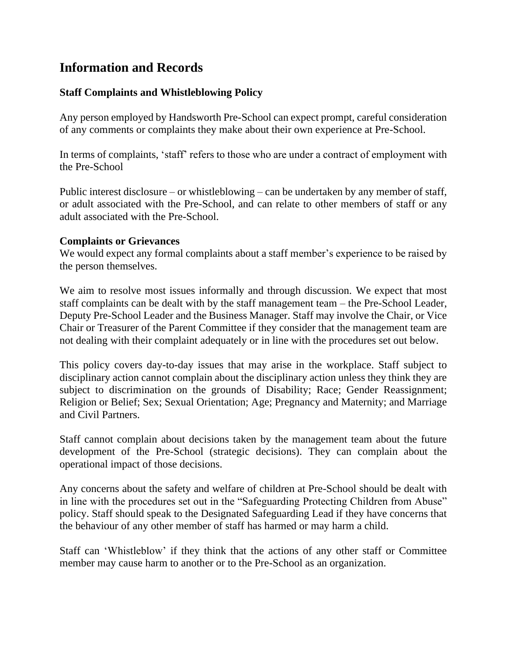# **Information and Records**

# **Staff Complaints and Whistleblowing Policy**

Any person employed by Handsworth Pre-School can expect prompt, careful consideration of any comments or complaints they make about their own experience at Pre-School.

In terms of complaints, 'staff' refers to those who are under a contract of employment with the Pre-School

Public interest disclosure – or whistleblowing – can be undertaken by any member of staff, or adult associated with the Pre-School, and can relate to other members of staff or any adult associated with the Pre-School.

#### **Complaints or Grievances**

We would expect any formal complaints about a staff member's experience to be raised by the person themselves.

We aim to resolve most issues informally and through discussion. We expect that most staff complaints can be dealt with by the staff management team – the Pre-School Leader, Deputy Pre-School Leader and the Business Manager. Staff may involve the Chair, or Vice Chair or Treasurer of the Parent Committee if they consider that the management team are not dealing with their complaint adequately or in line with the procedures set out below.

This policy covers day-to-day issues that may arise in the workplace. Staff subject to disciplinary action cannot complain about the disciplinary action unless they think they are subject to discrimination on the grounds of Disability; Race; Gender Reassignment; Religion or Belief; Sex; Sexual Orientation; Age; Pregnancy and Maternity; and Marriage and Civil Partners.

Staff cannot complain about decisions taken by the management team about the future development of the Pre-School (strategic decisions). They can complain about the operational impact of those decisions.

Any concerns about the safety and welfare of children at Pre-School should be dealt with in line with the procedures set out in the "Safeguarding Protecting Children from Abuse" policy. Staff should speak to the Designated Safeguarding Lead if they have concerns that the behaviour of any other member of staff has harmed or may harm a child.

Staff can 'Whistleblow' if they think that the actions of any other staff or Committee member may cause harm to another or to the Pre-School as an organization.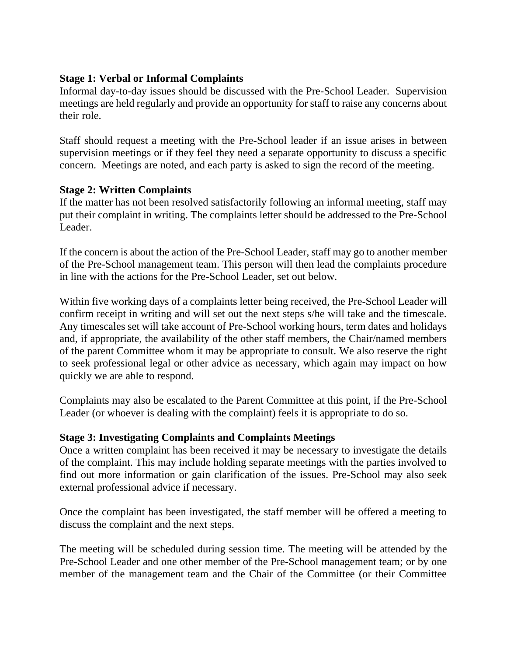# **Stage 1: Verbal or Informal Complaints**

Informal day-to-day issues should be discussed with the Pre-School Leader. Supervision meetings are held regularly and provide an opportunity for staff to raise any concerns about their role.

Staff should request a meeting with the Pre-School leader if an issue arises in between supervision meetings or if they feel they need a separate opportunity to discuss a specific concern. Meetings are noted, and each party is asked to sign the record of the meeting.

## **Stage 2: Written Complaints**

If the matter has not been resolved satisfactorily following an informal meeting, staff may put their complaint in writing. The complaints letter should be addressed to the Pre-School Leader.

If the concern is about the action of the Pre-School Leader, staff may go to another member of the Pre-School management team. This person will then lead the complaints procedure in line with the actions for the Pre-School Leader, set out below.

Within five working days of a complaints letter being received, the Pre-School Leader will confirm receipt in writing and will set out the next steps s/he will take and the timescale. Any timescales set will take account of Pre-School working hours, term dates and holidays and, if appropriate, the availability of the other staff members, the Chair/named members of the parent Committee whom it may be appropriate to consult. We also reserve the right to seek professional legal or other advice as necessary, which again may impact on how quickly we are able to respond.

Complaints may also be escalated to the Parent Committee at this point, if the Pre-School Leader (or whoever is dealing with the complaint) feels it is appropriate to do so.

## **Stage 3: Investigating Complaints and Complaints Meetings**

Once a written complaint has been received it may be necessary to investigate the details of the complaint. This may include holding separate meetings with the parties involved to find out more information or gain clarification of the issues. Pre-School may also seek external professional advice if necessary.

Once the complaint has been investigated, the staff member will be offered a meeting to discuss the complaint and the next steps.

The meeting will be scheduled during session time. The meeting will be attended by the Pre-School Leader and one other member of the Pre-School management team; or by one member of the management team and the Chair of the Committee (or their Committee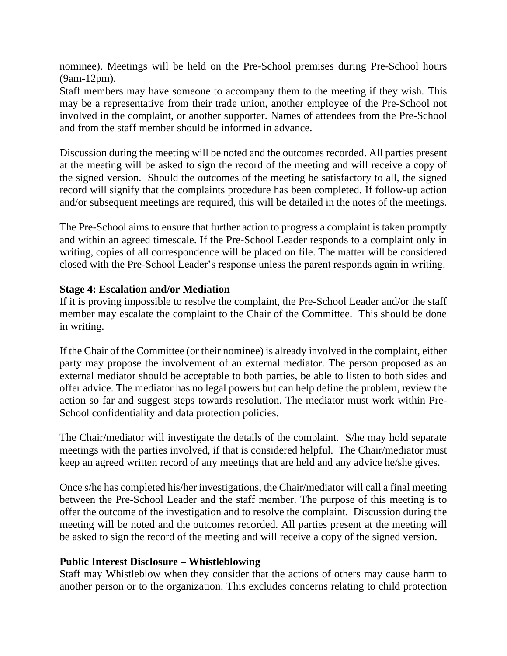nominee). Meetings will be held on the Pre-School premises during Pre-School hours (9am-12pm).

Staff members may have someone to accompany them to the meeting if they wish. This may be a representative from their trade union, another employee of the Pre-School not involved in the complaint, or another supporter. Names of attendees from the Pre-School and from the staff member should be informed in advance.

Discussion during the meeting will be noted and the outcomes recorded. All parties present at the meeting will be asked to sign the record of the meeting and will receive a copy of the signed version. Should the outcomes of the meeting be satisfactory to all, the signed record will signify that the complaints procedure has been completed. If follow-up action and/or subsequent meetings are required, this will be detailed in the notes of the meetings.

The Pre-School aims to ensure that further action to progress a complaint is taken promptly and within an agreed timescale. If the Pre-School Leader responds to a complaint only in writing, copies of all correspondence will be placed on file. The matter will be considered closed with the Pre-School Leader's response unless the parent responds again in writing.

## **Stage 4: Escalation and/or Mediation**

If it is proving impossible to resolve the complaint, the Pre-School Leader and/or the staff member may escalate the complaint to the Chair of the Committee. This should be done in writing.

If the Chair of the Committee (or their nominee) is already involved in the complaint, either party may propose the involvement of an external mediator. The person proposed as an external mediator should be acceptable to both parties, be able to listen to both sides and offer advice. The mediator has no legal powers but can help define the problem, review the action so far and suggest steps towards resolution. The mediator must work within Pre-School confidentiality and data protection policies.

The Chair/mediator will investigate the details of the complaint. S/he may hold separate meetings with the parties involved, if that is considered helpful. The Chair/mediator must keep an agreed written record of any meetings that are held and any advice he/she gives.

Once s/he has completed his/her investigations, the Chair/mediator will call a final meeting between the Pre-School Leader and the staff member. The purpose of this meeting is to offer the outcome of the investigation and to resolve the complaint. Discussion during the meeting will be noted and the outcomes recorded. All parties present at the meeting will be asked to sign the record of the meeting and will receive a copy of the signed version.

## **Public Interest Disclosure – Whistleblowing**

Staff may Whistleblow when they consider that the actions of others may cause harm to another person or to the organization. This excludes concerns relating to child protection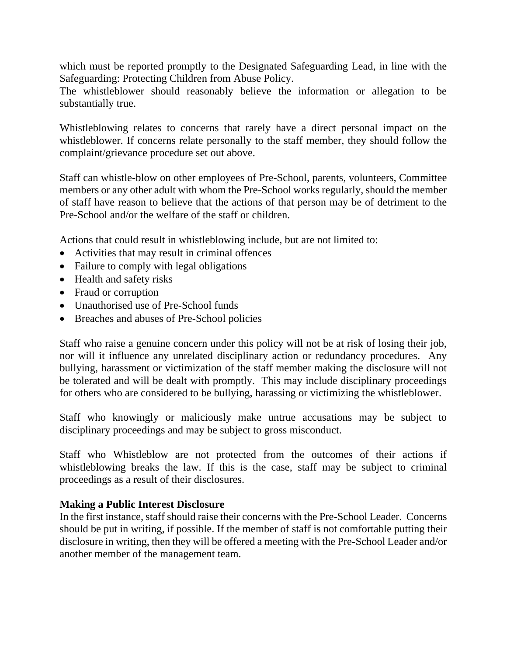which must be reported promptly to the Designated Safeguarding Lead, in line with the Safeguarding: Protecting Children from Abuse Policy.

The whistleblower should reasonably believe the information or allegation to be substantially true.

Whistleblowing relates to concerns that rarely have a direct personal impact on the whistleblower. If concerns relate personally to the staff member, they should follow the complaint/grievance procedure set out above.

Staff can whistle-blow on other employees of Pre-School, parents, volunteers, Committee members or any other adult with whom the Pre-School works regularly, should the member of staff have reason to believe that the actions of that person may be of detriment to the Pre-School and/or the welfare of the staff or children.

Actions that could result in whistleblowing include, but are not limited to:

- Activities that may result in criminal offences
- Failure to comply with legal obligations
- Health and safety risks
- Fraud or corruption
- Unauthorised use of Pre-School funds
- Breaches and abuses of Pre-School policies

Staff who raise a genuine concern under this policy will not be at risk of losing their job, nor will it influence any unrelated disciplinary action or redundancy procedures. Any bullying, harassment or victimization of the staff member making the disclosure will not be tolerated and will be dealt with promptly. This may include disciplinary proceedings for others who are considered to be bullying, harassing or victimizing the whistleblower.

Staff who knowingly or maliciously make untrue accusations may be subject to disciplinary proceedings and may be subject to gross misconduct.

Staff who Whistleblow are not protected from the outcomes of their actions if whistleblowing breaks the law. If this is the case, staff may be subject to criminal proceedings as a result of their disclosures.

## **Making a Public Interest Disclosure**

In the first instance, staff should raise their concerns with the Pre-School Leader. Concerns should be put in writing, if possible. If the member of staff is not comfortable putting their disclosure in writing, then they will be offered a meeting with the Pre-School Leader and/or another member of the management team.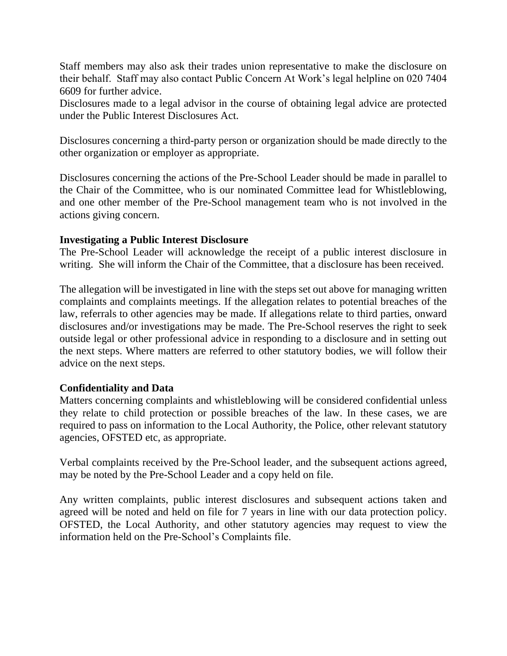Staff members may also ask their trades union representative to make the disclosure on their behalf. Staff may also contact Public Concern At Work's legal helpline on 020 7404 6609 for further advice.

Disclosures made to a legal advisor in the course of obtaining legal advice are protected under the Public Interest Disclosures Act.

Disclosures concerning a third-party person or organization should be made directly to the other organization or employer as appropriate.

Disclosures concerning the actions of the Pre-School Leader should be made in parallel to the Chair of the Committee, who is our nominated Committee lead for Whistleblowing, and one other member of the Pre-School management team who is not involved in the actions giving concern.

#### **Investigating a Public Interest Disclosure**

The Pre-School Leader will acknowledge the receipt of a public interest disclosure in writing. She will inform the Chair of the Committee, that a disclosure has been received.

The allegation will be investigated in line with the steps set out above for managing written complaints and complaints meetings. If the allegation relates to potential breaches of the law, referrals to other agencies may be made. If allegations relate to third parties, onward disclosures and/or investigations may be made. The Pre-School reserves the right to seek outside legal or other professional advice in responding to a disclosure and in setting out the next steps. Where matters are referred to other statutory bodies, we will follow their advice on the next steps.

## **Confidentiality and Data**

Matters concerning complaints and whistleblowing will be considered confidential unless they relate to child protection or possible breaches of the law. In these cases, we are required to pass on information to the Local Authority, the Police, other relevant statutory agencies, OFSTED etc, as appropriate.

Verbal complaints received by the Pre-School leader, and the subsequent actions agreed, may be noted by the Pre-School Leader and a copy held on file.

Any written complaints, public interest disclosures and subsequent actions taken and agreed will be noted and held on file for 7 years in line with our data protection policy. OFSTED, the Local Authority, and other statutory agencies may request to view the information held on the Pre-School's Complaints file.